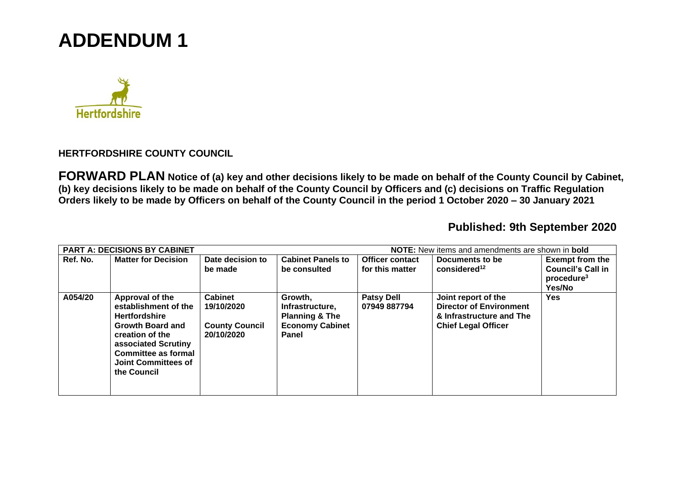## **ADDENDUM 1**



## **HERTFORDSHIRE COUNTY COUNCIL**

**FORWARD PLAN Notice of (a) key and other decisions likely to be made on behalf of the County Council by Cabinet, (b) key decisions likely to be made on behalf of the County Council by Officers and (c) decisions on Traffic Regulation Orders likely to be made by Officers on behalf of the County Council in the period 1 October 2020 – 30 January 2021** 

**Published: 9th September 2020** 

|          | <b>PART A: DECISIONS BY CABINET</b> |                       | <b>NOTE:</b> New items and amendments are shown in <b>bold</b> |                        |                                        |                          |
|----------|-------------------------------------|-----------------------|----------------------------------------------------------------|------------------------|----------------------------------------|--------------------------|
| Ref. No. | <b>Matter for Decision</b>          | Date decision to      | <b>Cabinet Panels to</b>                                       | <b>Officer contact</b> | Documents to be                        | <b>Exempt from the</b>   |
|          |                                     | be made               | be consulted                                                   | for this matter        | $\frac{1}{2}$ considered <sup>12</sup> | <b>Council's Call in</b> |
|          |                                     |                       |                                                                |                        |                                        | procedure <sup>3</sup>   |
|          |                                     |                       |                                                                |                        |                                        | Yes/No                   |
| A054/20  | Approval of the                     | <b>Cabinet</b>        | Growth,                                                        | <b>Patsy Dell</b>      | Joint report of the                    | <b>Yes</b>               |
|          | establishment of the                | 19/10/2020            | Infrastructure,                                                | 07949 887794           | <b>Director of Environment</b>         |                          |
|          | <b>Hertfordshire</b>                |                       | <b>Planning &amp; The</b>                                      |                        | & Infrastructure and The               |                          |
|          | Growth Board and                    | <b>County Council</b> | <b>Economy Cabinet</b>                                         |                        | <b>Chief Legal Officer</b>             |                          |
|          | creation of the                     | 20/10/2020            | Panel                                                          |                        |                                        |                          |
|          | associated Scrutiny                 |                       |                                                                |                        |                                        |                          |
|          | <b>Committee as formal</b>          |                       |                                                                |                        |                                        |                          |
|          | Joint Committees of                 |                       |                                                                |                        |                                        |                          |
|          | the Council                         |                       |                                                                |                        |                                        |                          |
|          |                                     |                       |                                                                |                        |                                        |                          |
|          |                                     |                       |                                                                |                        |                                        |                          |